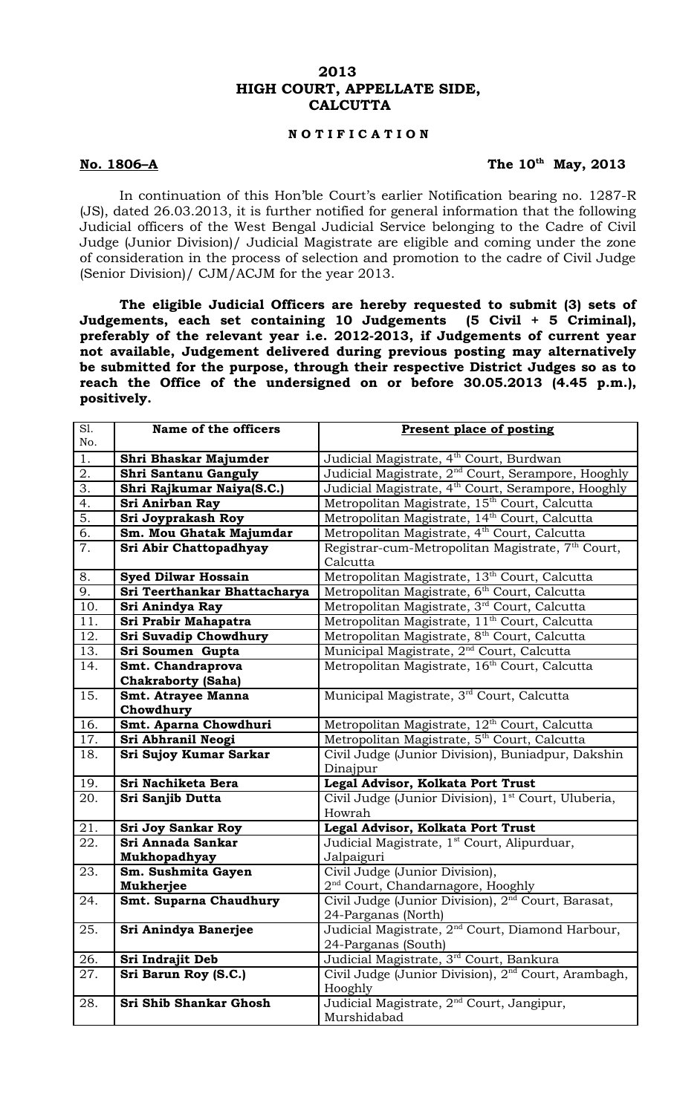### **2013 HIGH COURT, APPELLATE SIDE, CALCUTTA**

## **N O T I F I C A T I O N**

### **No. 1806–A The 10th May, 2013**

In continuation of this Hon'ble Court's earlier Notification bearing no. 1287-R (JS), dated 26.03.2013, it is further notified for general information that the following Judicial officers of the West Bengal Judicial Service belonging to the Cadre of Civil Judge (Junior Division)/ Judicial Magistrate are eligible and coming under the zone of consideration in the process of selection and promotion to the cadre of Civil Judge (Senior Division)/ CJM/ACJM for the year 2013.

**The eligible Judicial Officers are hereby requested to submit (3) sets of Judgements, each set containing 10 Judgements (5 Civil + 5 Criminal), preferably of the relevant year i.e. 2012-2013, if Judgements of current year not available, Judgement delivered during previous posting may alternatively be submitted for the purpose, through their respective District Judges so as to reach the Office of the undersigned on or before 30.05.2013 (4.45 p.m.), positively.** 

| SI.              | Name of the officers         | <b>Present place of posting</b>                                 |
|------------------|------------------------------|-----------------------------------------------------------------|
| No.              |                              |                                                                 |
| 1.               | Shri Bhaskar Majumder        | Judicial Magistrate, 4 <sup>th</sup> Court, Burdwan             |
| 2.               | Shri Santanu Ganguly         | Judicial Magistrate, 2 <sup>nd</sup> Court, Serampore, Hooghly  |
| $\overline{3}$ . | Shri Rajkumar Naiya(S.C.)    | Judicial Magistrate, 4 <sup>th</sup> Court, Serampore, Hooghly  |
| 4.               | Sri Anirban Ray              | Metropolitan Magistrate, 15 <sup>th</sup> Court, Calcutta       |
| $\overline{5}$ . | Sri Joyprakash Roy           | Metropolitan Magistrate, 14th Court, Calcutta                   |
| $\overline{6}$ . | Sm. Mou Ghatak Majumdar      | Metropolitan Magistrate, 4 <sup>th</sup> Court, Calcutta        |
| 7.               | Sri Abir Chattopadhyay       | Registrar-cum-Metropolitan Magistrate, 7 <sup>th</sup> Court,   |
|                  |                              | Calcutta                                                        |
| 8.               | <b>Syed Dilwar Hossain</b>   | Metropolitan Magistrate, 13 <sup>th</sup> Court, Calcutta       |
| 9.               | Sri Teerthankar Bhattacharya | Metropolitan Magistrate, 6 <sup>th</sup> Court, Calcutta        |
| 10.              | Sri Anindya Ray              | Metropolitan Magistrate, 3rd Court, Calcutta                    |
| 11.              | Sri Prabir Mahapatra         | Metropolitan Magistrate, 11 <sup>th</sup> Court, Calcutta       |
| 12.              | Sri Suvadip Chowdhury        | Metropolitan Magistrate, 8 <sup>th</sup> Court, Calcutta        |
| 13.              | Sri Soumen Gupta             | Municipal Magistrate, 2 <sup>nd</sup> Court, Calcutta           |
| 14.              | Smt. Chandraprova            | Metropolitan Magistrate, 16 <sup>th</sup> Court, Calcutta       |
|                  | <b>Chakraborty (Saha)</b>    |                                                                 |
| 15.              | <b>Smt. Atrayee Manna</b>    | Municipal Magistrate, 3 <sup>rd</sup> Court, Calcutta           |
|                  | Chowdhury                    |                                                                 |
| 16.              | Smt. Aparna Chowdhuri        | Metropolitan Magistrate, 12 <sup>th</sup> Court, Calcutta       |
| 17.              | Sri Abhranil Neogi           | Metropolitan Magistrate, 5 <sup>th</sup> Court, Calcutta        |
| 18.              | Sri Sujoy Kumar Sarkar       | Civil Judge (Junior Division), Buniadpur, Dakshin               |
|                  |                              | Dinajpur                                                        |
| 19.              | Sri Nachiketa Bera           | Legal Advisor, Kolkata Port Trust                               |
| 20.              | Sri Sanjib Dutta             | Civil Judge (Junior Division), 1 <sup>st</sup> Court, Uluberia, |
|                  |                              | Howrah                                                          |
| 21.              | <b>Sri Joy Sankar Roy</b>    | Legal Advisor, Kolkata Port Trust                               |
| 22.              | Sri Annada Sankar            | Judicial Magistrate, 1 <sup>st</sup> Court, Alipurduar,         |
|                  | Mukhopadhyay                 | Jalpaiguri                                                      |
| 23.              | Sm. Sushmita Gayen           | Civil Judge (Junior Division),                                  |
|                  | Mukherjee                    | $2nd$ Court, Chandarnagore, Hooghly                             |
| 24.              | Smt. Suparna Chaudhury       | Civil Judge (Junior Division), 2 <sup>nd</sup> Court, Barasat,  |
|                  |                              | 24-Parganas (North)                                             |
| 25.              | Sri Anindya Banerjee         | Judicial Magistrate, 2 <sup>nd</sup> Court, Diamond Harbour,    |
|                  |                              | 24-Parganas (South)                                             |
| 26.              | Sri Indrajit Deb             | Judicial Magistrate, 3 <sup>rd</sup> Court, Bankura             |
| 27.              | Sri Barun Roy (S.C.)         | Civil Judge (Junior Division), 2 <sup>nd</sup> Court, Arambagh, |
|                  |                              | Hooghly                                                         |
| 28.              | Sri Shib Shankar Ghosh       | Judicial Magistrate, 2 <sup>nd</sup> Court, Jangipur,           |
|                  |                              | Murshidabad                                                     |